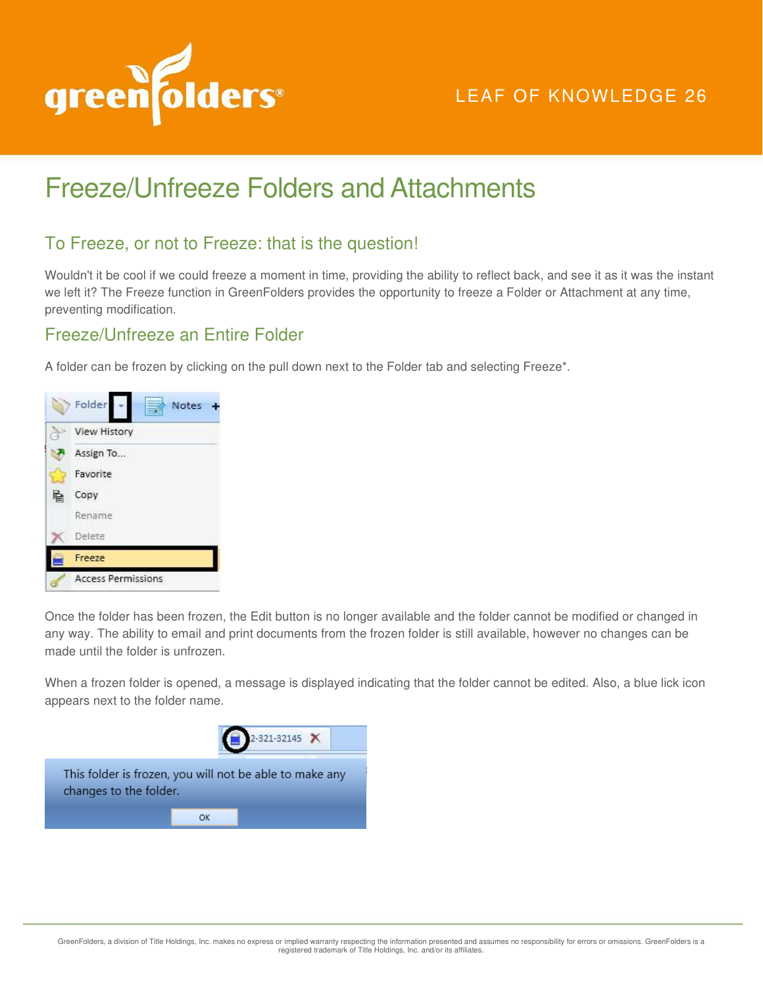

## LEAF OF KNOWLEDGE 26

# Freeze/Unfreeze Folders and Attachments

#### To Freeze, or not to Freeze: that is the question!

Wouldn't it be cool if we could freeze a moment in time, providing the ability to reflect back, and see it as it was the instant we left it? The Freeze function in GreenFolders provides the opportunity to freeze a Folder or Attachment at any time, preventing modification.

### Freeze/Unfreeze an Entire Folder

A folder can be frozen by clicking on the pull down next to the Folder tab and selecting Freeze\*.



Once the folder has been frozen, the Edit button is no longer available and the folder cannot be modified or changed in any way. The ability to email and print documents from the frozen folder is still available, however no changes can be made until the folder is unfrozen.

When a frozen folder is opened, a message is displayed indicating that the folder cannot be edited. Also, a blue lick icon appears next to the folder name.